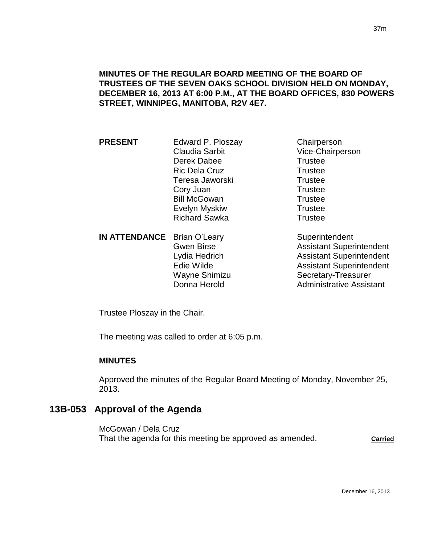### **MINUTES OF THE REGULAR BOARD MEETING OF THE BOARD OF TRUSTEES OF THE SEVEN OAKS SCHOOL DIVISION HELD ON MONDAY, DECEMBER 16, 2013 AT 6:00 P.M., AT THE BOARD OFFICES, 830 POWERS STREET, WINNIPEG, MANITOBA, R2V 4E7.**

| <b>PRESENT</b>                 | Edward P. Ploszay     | Chairperson      |
|--------------------------------|-----------------------|------------------|
|                                | <b>Claudia Sarbit</b> | Vice-Chairperson |
|                                | Derek Dabee           | <b>Trustee</b>   |
|                                | <b>Ric Dela Cruz</b>  | <b>Trustee</b>   |
|                                | Teresa Jaworski       | <b>Trustee</b>   |
|                                | Cory Juan             | <b>Trustee</b>   |
|                                | <b>Bill McGowan</b>   | <b>Trustee</b>   |
|                                | Evelyn Myskiw         | <b>Trustee</b>   |
|                                | <b>Richard Sawka</b>  | <b>Trustee</b>   |
| IN ATTENDANCE Rrian $Q^2$ parv |                       | Superintendent   |

**IN ATTENDANCE** Brian O'Leary **Superintendent** Wayne Shimizu Secretary-Treasurer

Gwen Birse **Assistant Superintendent** Lydia Hedrich **Assistant Superintendent** Edie Wilde **Assistant Superintendent** Donna Herold **Administrative Assistant** 

Trustee Ploszay in the Chair.

The meeting was called to order at 6:05 p.m.

#### **MINUTES**

Approved the minutes of the Regular Board Meeting of Monday, November 25, 2013.

# **13B-053 Approval of the Agenda**

McGowan / Dela Cruz That the agenda for this meeting be approved as amended. **Carried**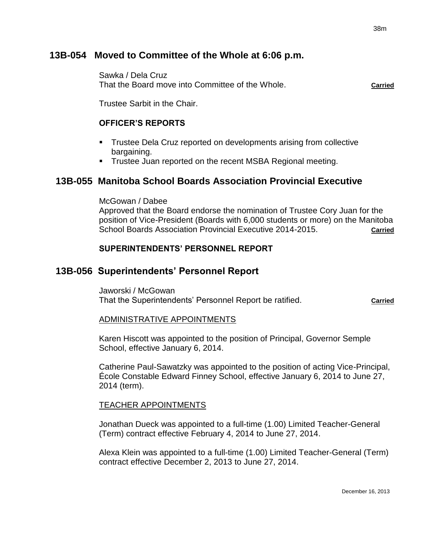# **13B-054 Moved to Committee of the Whole at 6:06 p.m.**

Sawka / Dela Cruz That the Board move into Committee of the Whole. **Carried**

Trustee Sarbit in the Chair.

### **OFFICER'S REPORTS**

- Trustee Dela Cruz reported on developments arising from collective bargaining.
- **Trustee Juan reported on the recent MSBA Regional meeting.**

# **13B-055 Manitoba School Boards Association Provincial Executive**

McGowan / Dabee

Approved that the Board endorse the nomination of Trustee Cory Juan for the position of Vice-President (Boards with 6,000 students or more) on the Manitoba School Boards Association Provincial Executive 2014-2015. **Carried**

### **SUPERINTENDENTS' PERSONNEL REPORT**

# **13B-056 Superintendents' Personnel Report**

Jaworski / McGowan That the Superintendents' Personnel Report be ratified. **Carried**

### ADMINISTRATIVE APPOINTMENTS

Karen Hiscott was appointed to the position of Principal, Governor Semple School, effective January 6, 2014.

Catherine Paul-Sawatzky was appointed to the position of acting Vice-Principal, École Constable Edward Finney School, effective January 6, 2014 to June 27, 2014 (term).

### TEACHER APPOINTMENTS

Jonathan Dueck was appointed to a full-time (1.00) Limited Teacher-General (Term) contract effective February 4, 2014 to June 27, 2014.

Alexa Klein was appointed to a full-time (1.00) Limited Teacher-General (Term) contract effective December 2, 2013 to June 27, 2014.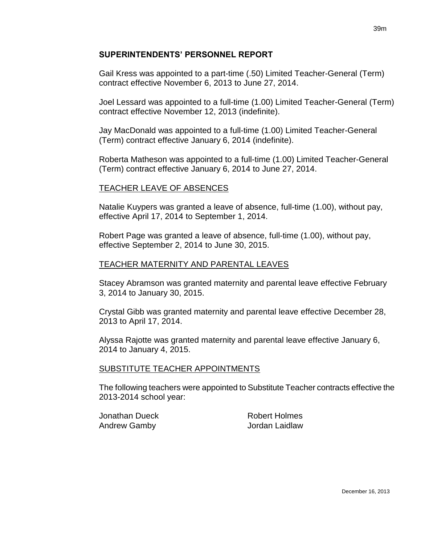### **SUPERINTENDENTS' PERSONNEL REPORT**

Gail Kress was appointed to a part-time (.50) Limited Teacher-General (Term) contract effective November 6, 2013 to June 27, 2014.

Joel Lessard was appointed to a full-time (1.00) Limited Teacher-General (Term) contract effective November 12, 2013 (indefinite).

Jay MacDonald was appointed to a full-time (1.00) Limited Teacher-General (Term) contract effective January 6, 2014 (indefinite).

Roberta Matheson was appointed to a full-time (1.00) Limited Teacher-General (Term) contract effective January 6, 2014 to June 27, 2014.

# TEACHER LEAVE OF ABSENCES

Natalie Kuypers was granted a leave of absence, full-time (1.00), without pay, effective April 17, 2014 to September 1, 2014.

Robert Page was granted a leave of absence, full-time (1.00), without pay, effective September 2, 2014 to June 30, 2015.

### TEACHER MATERNITY AND PARENTAL LEAVES

Stacey Abramson was granted maternity and parental leave effective February 3, 2014 to January 30, 2015.

Crystal Gibb was granted maternity and parental leave effective December 28, 2013 to April 17, 2014.

Alyssa Rajotte was granted maternity and parental leave effective January 6, 2014 to January 4, 2015.

### SUBSTITUTE TEACHER APPOINTMENTS

The following teachers were appointed to Substitute Teacher contracts effective the 2013-2014 school year:

Jonathan Dueck Robert Holmes Andrew Gamby Jordan Laidlaw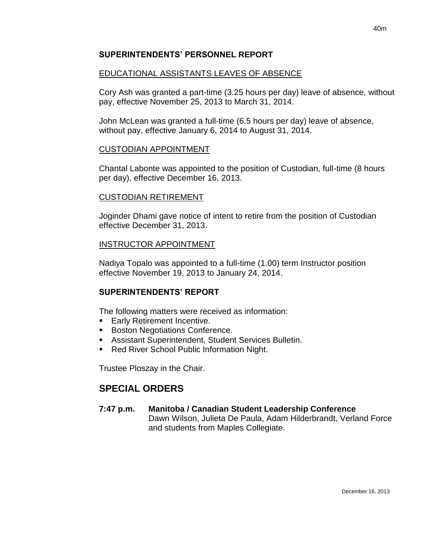### **SUPERINTENDENTS' PERSONNEL REPORT**

# EDUCATIONAL ASSISTANTS LEAVES OF ABSENCE

Cory Ash was granted a part-time (3.25 hours per day) leave of absence, without pay, effective November 25, 2013 to March 31, 2014.

John McLean was granted a full-time (6.5 hours per day) leave of absence, without pay, effective January 6, 2014 to August 31, 2014.

### CUSTODIAN APPOINTMENT

Chantal Labonte was appointed to the position of Custodian, full-time (8 hours per day), effective December 16, 2013.

### CUSTODIAN RETIREMENT

Joginder Dhami gave notice of intent to retire from the position of Custodian effective December 31, 2013.

### INSTRUCTOR APPOINTMENT

Nadiya Topalo was appointed to a full-time (1.00) term Instructor position effective November 19, 2013 to January 24, 2014.

# **SUPERINTENDENTS' REPORT**

The following matters were received as information:

- **Early Retirement Incentive.**
- **Boston Negotiations Conference.**
- Assistant Superintendent, Student Services Bulletin.
- Red River School Public Information Night.

Trustee Ploszay in the Chair.

# **SPECIAL ORDERS**

# **7:47 p.m. Manitoba / Canadian Student Leadership Conference**

Dawn Wilson, Julieta De Paula, Adam Hilderbrandt, Verland Force and students from Maples Collegiate.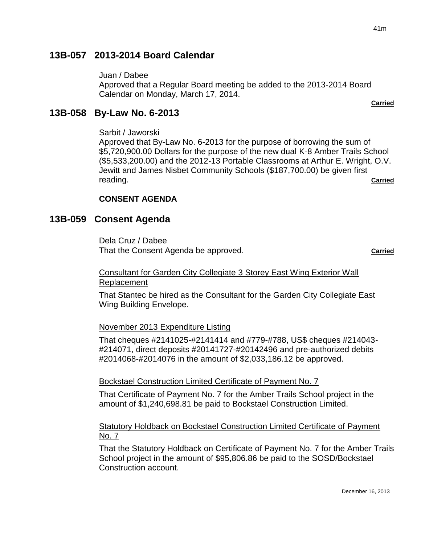**Carried**

# **13B-057 2013-2014 Board Calendar**

Juan / Dabee

Approved that a Regular Board meeting be added to the 2013-2014 Board Calendar on Monday, March 17, 2014.

# **13B-058 By-Law No. 6-2013**

Sarbit / Jaworski

Approved that By-Law No. 6-2013 for the purpose of borrowing the sum of \$5,720,900.00 Dollars for the purpose of the new dual K-8 Amber Trails School (\$5,533,200.00) and the 2012-13 Portable Classrooms at Arthur E. Wright, O.V. Jewitt and James Nisbet Community Schools (\$187,700.00) be given first reading. **Carried**

### **CONSENT AGENDA**

### **13B-059 Consent Agenda**

Dela Cruz / Dabee That the Consent Agenda be approved. **Carried**

#### Consultant for Garden City Collegiate 3 Storey East Wing Exterior Wall Replacement

That Stantec be hired as the Consultant for the Garden City Collegiate East Wing Building Envelope.

#### November 2013 Expenditure Listing

That cheques #2141025-#2141414 and #779-#788, US\$ cheques #214043- #214071, direct deposits #20141727-#20142496 and pre-authorized debits #2014068-#2014076 in the amount of \$2,033,186.12 be approved.

#### Bockstael Construction Limited Certificate of Payment No. 7

That Certificate of Payment No. 7 for the Amber Trails School project in the amount of \$1,240,698.81 be paid to Bockstael Construction Limited.

### Statutory Holdback on Bockstael Construction Limited Certificate of Payment No. 7

That the Statutory Holdback on Certificate of Payment No. 7 for the Amber Trails School project in the amount of \$95,806.86 be paid to the SOSD/Bockstael Construction account.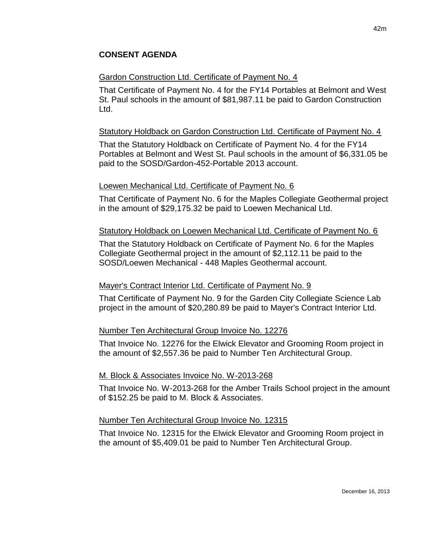### **CONSENT AGENDA**

#### Gardon Construction Ltd. Certificate of Payment No. 4

That Certificate of Payment No. 4 for the FY14 Portables at Belmont and West St. Paul schools in the amount of \$81,987.11 be paid to Gardon Construction Ltd.

#### Statutory Holdback on Gardon Construction Ltd. Certificate of Payment No. 4

That the Statutory Holdback on Certificate of Payment No. 4 for the FY14 Portables at Belmont and West St. Paul schools in the amount of \$6,331.05 be paid to the SOSD/Gardon-452-Portable 2013 account.

#### Loewen Mechanical Ltd. Certificate of Payment No. 6

That Certificate of Payment No. 6 for the Maples Collegiate Geothermal project in the amount of \$29,175.32 be paid to Loewen Mechanical Ltd.

#### Statutory Holdback on Loewen Mechanical Ltd. Certificate of Payment No. 6

That the Statutory Holdback on Certificate of Payment No. 6 for the Maples Collegiate Geothermal project in the amount of \$2,112.11 be paid to the SOSD/Loewen Mechanical - 448 Maples Geothermal account.

#### Mayer's Contract Interior Ltd. Certificate of Payment No. 9

That Certificate of Payment No. 9 for the Garden City Collegiate Science Lab project in the amount of \$20,280.89 be paid to Mayer's Contract Interior Ltd.

#### Number Ten Architectural Group Invoice No. 12276

That Invoice No. 12276 for the Elwick Elevator and Grooming Room project in the amount of \$2,557.36 be paid to Number Ten Architectural Group.

#### M. Block & Associates Invoice No. W-2013-268

That Invoice No. W-2013-268 for the Amber Trails School project in the amount of \$152.25 be paid to M. Block & Associates.

#### Number Ten Architectural Group Invoice No. 12315

That Invoice No. 12315 for the Elwick Elevator and Grooming Room project in the amount of \$5,409.01 be paid to Number Ten Architectural Group.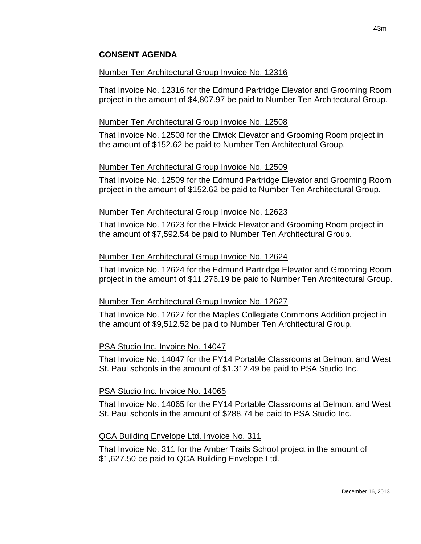### **CONSENT AGENDA**

#### Number Ten Architectural Group Invoice No. 12316

That Invoice No. 12316 for the Edmund Partridge Elevator and Grooming Room project in the amount of \$4,807.97 be paid to Number Ten Architectural Group.

#### Number Ten Architectural Group Invoice No. 12508

That Invoice No. 12508 for the Elwick Elevator and Grooming Room project in the amount of \$152.62 be paid to Number Ten Architectural Group.

### Number Ten Architectural Group Invoice No. 12509

That Invoice No. 12509 for the Edmund Partridge Elevator and Grooming Room project in the amount of \$152.62 be paid to Number Ten Architectural Group.

#### Number Ten Architectural Group Invoice No. 12623

That Invoice No. 12623 for the Elwick Elevator and Grooming Room project in the amount of \$7,592.54 be paid to Number Ten Architectural Group.

#### Number Ten Architectural Group Invoice No. 12624

That Invoice No. 12624 for the Edmund Partridge Elevator and Grooming Room project in the amount of \$11,276.19 be paid to Number Ten Architectural Group.

### Number Ten Architectural Group Invoice No. 12627

That Invoice No. 12627 for the Maples Collegiate Commons Addition project in the amount of \$9,512.52 be paid to Number Ten Architectural Group.

### PSA Studio Inc. Invoice No. 14047

That Invoice No. 14047 for the FY14 Portable Classrooms at Belmont and West St. Paul schools in the amount of \$1,312.49 be paid to PSA Studio Inc.

#### PSA Studio Inc. Invoice No. 14065

That Invoice No. 14065 for the FY14 Portable Classrooms at Belmont and West St. Paul schools in the amount of \$288.74 be paid to PSA Studio Inc.

### QCA Building Envelope Ltd. Invoice No. 311

That Invoice No. 311 for the Amber Trails School project in the amount of \$1,627.50 be paid to QCA Building Envelope Ltd.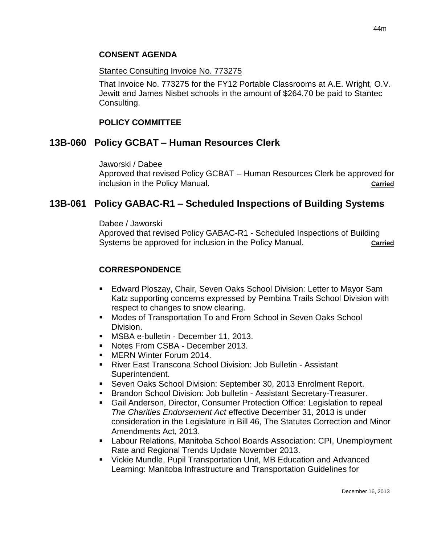### **CONSENT AGENDA**

#### Stantec Consulting Invoice No. 773275

That Invoice No. 773275 for the FY12 Portable Classrooms at A.E. Wright, O.V. Jewitt and James Nisbet schools in the amount of \$264.70 be paid to Stantec Consulting.

#### **POLICY COMMITTEE**

### **13B-060 Policy GCBAT – Human Resources Clerk**

Jaworski / Dabee

Approved that revised Policy GCBAT – Human Resources Clerk be approved for inclusion in the Policy Manual. **Carried**

### **13B-061 Policy GABAC-R1 – Scheduled Inspections of Building Systems**

#### Dabee / Jaworski

Approved that revised Policy GABAC-R1 - Scheduled Inspections of Building Systems be approved for inclusion in the Policy Manual. **Carried Carried** 

### **CORRESPONDENCE**

- Edward Ploszay, Chair, Seven Oaks School Division: Letter to Mayor Sam Katz supporting concerns expressed by Pembina Trails School Division with respect to changes to snow clearing.
- Modes of Transportation To and From School in Seven Oaks School Division.
- **MSBA e-bulletin December 11, 2013.**
- **Notes From CSBA December 2013.**
- **MERN Winter Forum 2014.**
- River East Transcona School Division: Job Bulletin Assistant Superintendent.
- Seven Oaks School Division: September 30, 2013 Enrolment Report.
- **Brandon School Division: Job bulletin Assistant Secretary-Treasurer.**
- Gail Anderson, Director, Consumer Protection Office: Legislation to repeal *The Charities Endorsement Act* effective December 31, 2013 is under consideration in the Legislature in Bill 46, The Statutes Correction and Minor Amendments Act, 2013.
- Labour Relations, Manitoba School Boards Association: CPI, Unemployment Rate and Regional Trends Update November 2013.
- Vickie Mundle, Pupil Transportation Unit, MB Education and Advanced Learning: Manitoba Infrastructure and Transportation Guidelines for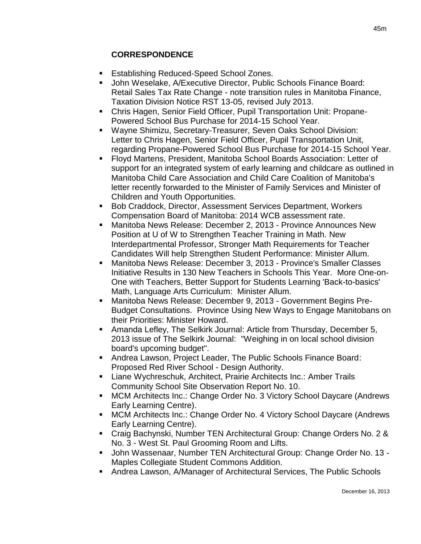# **CORRESPONDENCE**

- Establishing Reduced-Speed School Zones.
- John Weselake, A/Executive Director, Public Schools Finance Board: Retail Sales Tax Rate Change - note transition rules in Manitoba Finance, Taxation Division Notice RST 13-05, revised July 2013.
- Chris Hagen, Senior Field Officer, Pupil Transportation Unit: Propane-Powered School Bus Purchase for 2014-15 School Year.
- Wayne Shimizu, Secretary-Treasurer, Seven Oaks School Division: Letter to Chris Hagen, Senior Field Officer, Pupil Transportation Unit, regarding Propane-Powered School Bus Purchase for 2014-15 School Year.
- Floyd Martens, President, Manitoba School Boards Association: Letter of support for an integrated system of early learning and childcare as outlined in Manitoba Child Care Association and Child Care Coalition of Manitoba's letter recently forwarded to the Minister of Family Services and Minister of Children and Youth Opportunities.
- **Bob Craddock, Director, Assessment Services Department, Workers** Compensation Board of Manitoba: 2014 WCB assessment rate.
- Manitoba News Release: December 2, 2013 Province Announces New Position at U of W to Strengthen Teacher Training in Math. New Interdepartmental Professor, Stronger Math Requirements for Teacher Candidates Will help Strengthen Student Performance: Minister Allum.
- Manitoba News Release: December 3, 2013 Province's Smaller Classes Initiative Results in 130 New Teachers in Schools This Year. More One-on-One with Teachers, Better Support for Students Learning 'Back-to-basics' Math, Language Arts Curriculum: Minister Allum.
- Manitoba News Release: December 9, 2013 Government Begins Pre-Budget Consultations. Province Using New Ways to Engage Manitobans on their Priorities: Minister Howard.
- Amanda Lefley, The Selkirk Journal: Article from Thursday, December 5, 2013 issue of The Selkirk Journal: "Weighing in on local school division board's upcoming budget".
- Andrea Lawson, Project Leader, The Public Schools Finance Board: Proposed Red River School - Design Authority.
- **E.** Liane Wychreschuk, Architect, Prairie Architects Inc.: Amber Trails Community School Site Observation Report No. 10.
- MCM Architects Inc.: Change Order No. 3 Victory School Daycare (Andrews Early Learning Centre).
- MCM Architects Inc.: Change Order No. 4 Victory School Daycare (Andrews Early Learning Centre).
- Craig Bachynski, Number TEN Architectural Group: Change Orders No. 2 & No. 3 - West St. Paul Grooming Room and Lifts.
- John Wassenaar, Number TEN Architectural Group: Change Order No. 13 Maples Collegiate Student Commons Addition.
- Andrea Lawson, A/Manager of Architectural Services, The Public Schools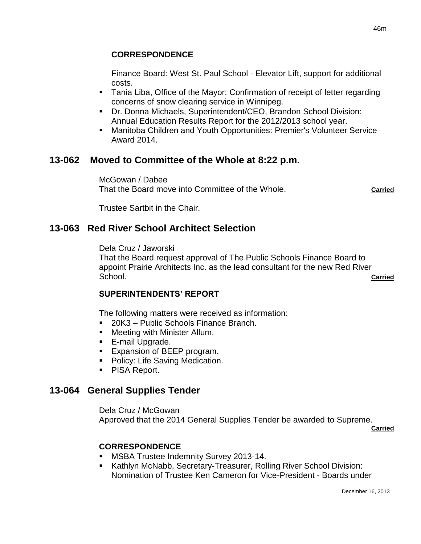### **CORRESPONDENCE**

Finance Board: West St. Paul School - Elevator Lift, support for additional costs.

- Tania Liba, Office of the Mayor: Confirmation of receipt of letter regarding concerns of snow clearing service in Winnipeg.
- Dr. Donna Michaels, Superintendent/CEO, Brandon School Division: Annual Education Results Report for the 2012/2013 school year.
- Manitoba Children and Youth Opportunities: Premier's Volunteer Service Award 2014.

# **13-062 Moved to Committee of the Whole at 8:22 p.m.**

McGowan / Dabee That the Board move into Committee of the Whole. **Carried**

Trustee Sartbit in the Chair.

# **13-063 Red River School Architect Selection**

Dela Cruz / Jaworski

That the Board request approval of The Public Schools Finance Board to appoint Prairie Architects Inc. as the lead consultant for the new Red River School. **Carried**

#### **SUPERINTENDENTS' REPORT**

The following matters were received as information:

- 20K3 Public Schools Finance Branch.
- **Meeting with Minister Allum.**
- E-mail Upgrade.
- **Expansion of BEEP program.**
- Policy: Life Saving Medication.
- **PISA Report.**

# **13-064 General Supplies Tender**

Dela Cruz / McGowan Approved that the 2014 General Supplies Tender be awarded to Supreme.

**Carried**

### **CORRESPONDENCE**

- **MSBA Trustee Indemnity Survey 2013-14.**
- **Kathlyn McNabb, Secretary-Treasurer, Rolling River School Division:** Nomination of Trustee Ken Cameron for Vice-President - Boards under